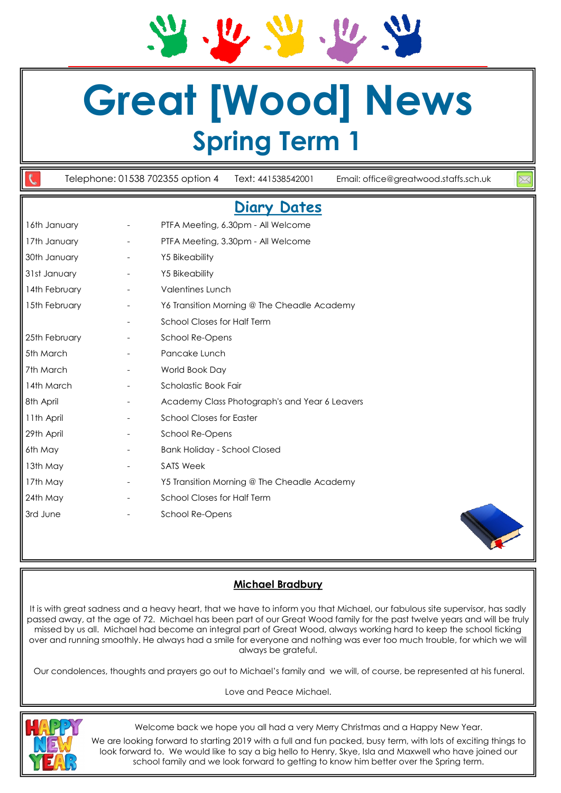**Great [Wood] News Spring Term 1**

Telephone: 01538 702355 option 4 Text: 441538542001 Email: office@greatwood.staffs.sch.uk **Diary Dates**  16th January - PTFA Meeting, 6.30pm - All Welcome

| .             |                                               |  |
|---------------|-----------------------------------------------|--|
| 17th January  | PTFA Meeting, 3.30pm - All Welcome            |  |
| 30th January  | <b>Y5 Bikeability</b>                         |  |
| 31st January  | <b>Y5 Bikeability</b>                         |  |
| 14th February | <b>Valentines Lunch</b>                       |  |
| 15th February | Y6 Transition Morning @ The Cheadle Academy   |  |
|               | <b>School Closes for Half Term</b>            |  |
| 25th February | School Re-Opens                               |  |
| 5th March     | Pancake Lunch                                 |  |
| 7th March     | World Book Day                                |  |
| 14th March    | Scholastic Book Fair                          |  |
| 8th April     | Academy Class Photograph's and Year 6 Leavers |  |
| 11th April    | <b>School Closes for Easter</b>               |  |
| 29th April    | School Re-Opens                               |  |
| 6th May       | <b>Bank Holiday - School Closed</b>           |  |
| 13th May      | <b>SATS Week</b>                              |  |
| 17th May      | Y5 Transition Morning @ The Cheadle Academy   |  |
| 24th May      | School Closes for Half Term                   |  |
| 3rd June      | School Re-Opens                               |  |
|               |                                               |  |



# **Michael Bradbury**

It is with great sadness and a heavy heart, that we have to inform you that Michael, our fabulous site supervisor, has sadly passed away, at the age of 72. Michael has been part of our Great Wood family for the past twelve years and will be truly missed by us all. Michael had become an integral part of Great Wood, always working hard to keep the school ticking over and running smoothly. He always had a smile for everyone and nothing was ever too much trouble, for which we will always be grateful.

Our condolences, thoughts and prayers go out to Michael's family and we will, of course, be represented at his funeral.

Love and Peace Michael.



Welcome back we hope you all had a very Merry Christmas and a Happy New Year.

We are looking forward to starting 2019 with a full and fun packed, busy term, with lots of exciting things to look forward to. We would like to say a big hello to Henry, Skye, Isla and Maxwell who have joined our school family and we look forward to getting to know him better over the Spring term.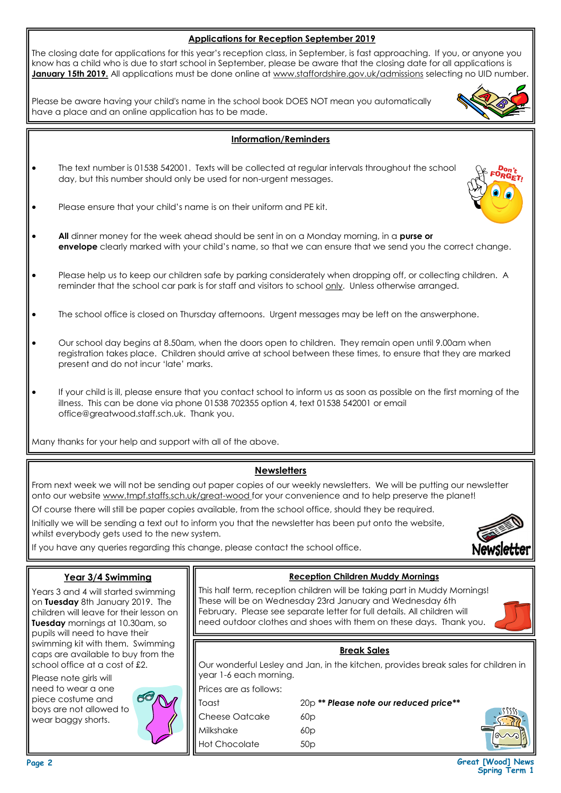| <b>Applications for Reception September 2019</b>                                                                                                                                                                                                               |                                                                                                                                                                                                                                                                                                                                                                                   |                                                                                                                                                                                                                                                                                          |  |  |  |
|----------------------------------------------------------------------------------------------------------------------------------------------------------------------------------------------------------------------------------------------------------------|-----------------------------------------------------------------------------------------------------------------------------------------------------------------------------------------------------------------------------------------------------------------------------------------------------------------------------------------------------------------------------------|------------------------------------------------------------------------------------------------------------------------------------------------------------------------------------------------------------------------------------------------------------------------------------------|--|--|--|
|                                                                                                                                                                                                                                                                | The closing date for applications for this year's reception class, in September, is fast approaching. If you, or anyone you<br>know has a child who is due to start school in September, please be aware that the closing date for all applications is<br>January 15th 2019. All applications must be done online at www.staffordshire.gov.uk/admissions selecting no UID number. |                                                                                                                                                                                                                                                                                          |  |  |  |
|                                                                                                                                                                                                                                                                | Please be aware having your child's name in the school book DOES NOT mean you automatically<br>have a place and an online application has to be made.                                                                                                                                                                                                                             |                                                                                                                                                                                                                                                                                          |  |  |  |
|                                                                                                                                                                                                                                                                |                                                                                                                                                                                                                                                                                                                                                                                   | <b>Information/Reminders</b>                                                                                                                                                                                                                                                             |  |  |  |
|                                                                                                                                                                                                                                                                | The text number is 01538 542001. Texts will be collected at regular intervals throughout the school<br>day, but this number should only be used for non-urgent messages.                                                                                                                                                                                                          |                                                                                                                                                                                                                                                                                          |  |  |  |
| ٠                                                                                                                                                                                                                                                              |                                                                                                                                                                                                                                                                                                                                                                                   | Please ensure that your child's name is on their uniform and PE kit.                                                                                                                                                                                                                     |  |  |  |
| $\bullet$                                                                                                                                                                                                                                                      | All dinner money for the week ahead should be sent in on a Monday morning, in a purse or<br>envelope clearly marked with your child's name, so that we can ensure that we send you the correct change.                                                                                                                                                                            |                                                                                                                                                                                                                                                                                          |  |  |  |
| $\bullet$                                                                                                                                                                                                                                                      | Please help us to keep our children safe by parking considerately when dropping off, or collecting children. A<br>reminder that the school car park is for staff and visitors to school only. Unless otherwise arranged.                                                                                                                                                          |                                                                                                                                                                                                                                                                                          |  |  |  |
|                                                                                                                                                                                                                                                                |                                                                                                                                                                                                                                                                                                                                                                                   | The school office is closed on Thursday afternoons. Urgent messages may be left on the answerphone.                                                                                                                                                                                      |  |  |  |
| $\bullet$                                                                                                                                                                                                                                                      | Our school day begins at 8.50am, when the doors open to children. They remain open until 9.00am when<br>registration takes place. Children should arrive at school between these times, to ensure that they are marked<br>present and do not incur 'late' marks.                                                                                                                  |                                                                                                                                                                                                                                                                                          |  |  |  |
| If your child is ill, please ensure that you contact school to inform us as soon as possible on the first morning of the<br>illness. This can be done via phone 01538 702355 option 4, text 01538 542001 or email<br>office@greatwood.staff.sch.uk. Thank you. |                                                                                                                                                                                                                                                                                                                                                                                   |                                                                                                                                                                                                                                                                                          |  |  |  |
|                                                                                                                                                                                                                                                                | Many thanks for your help and support with all of the above.                                                                                                                                                                                                                                                                                                                      |                                                                                                                                                                                                                                                                                          |  |  |  |
|                                                                                                                                                                                                                                                                |                                                                                                                                                                                                                                                                                                                                                                                   | <b>Newsletters</b>                                                                                                                                                                                                                                                                       |  |  |  |
| From next week we will not be sending out paper copies of our weekly newsletters. We will be putting our newsletter<br>onto our website www.tmpf.staffs.sch.uk/great-wood for your convenience and to help preserve the planet!                                |                                                                                                                                                                                                                                                                                                                                                                                   |                                                                                                                                                                                                                                                                                          |  |  |  |
| Of course there will still be paper copies available, from the school office, should they be required.                                                                                                                                                         |                                                                                                                                                                                                                                                                                                                                                                                   |                                                                                                                                                                                                                                                                                          |  |  |  |
|                                                                                                                                                                                                                                                                | Initially we will be sending a text out to inform you that the newsletter has been put onto the website,<br>whilst everybody gets used to the new system.                                                                                                                                                                                                                         |                                                                                                                                                                                                                                                                                          |  |  |  |
| <b>Newsl</b><br>If you have any queries regarding this change, please contact the school office.                                                                                                                                                               |                                                                                                                                                                                                                                                                                                                                                                                   |                                                                                                                                                                                                                                                                                          |  |  |  |
|                                                                                                                                                                                                                                                                |                                                                                                                                                                                                                                                                                                                                                                                   | <b>Reception Children Muddy Mornings</b>                                                                                                                                                                                                                                                 |  |  |  |
| Year 3/4 Swimming<br>Years 3 and 4 will started swimming<br>on Tuesday 8th January 2019. The<br>children will leave for their lesson on<br>Tuesday mornings at 10.30am, so<br>pupils will need to have their<br>swimming kit with them. Swimming               |                                                                                                                                                                                                                                                                                                                                                                                   | This half term, reception children will be taking part in Muddy Mornings!<br>These will be on Wednesday 23rd January and Wednesday 6th<br>February. Please see separate letter for full details. All children will<br>need outdoor clothes and shoes with them on these days. Thank you. |  |  |  |
|                                                                                                                                                                                                                                                                |                                                                                                                                                                                                                                                                                                                                                                                   | <b>Break Sales</b>                                                                                                                                                                                                                                                                       |  |  |  |
| caps are available to buy from the<br>school office at a cost of £2.                                                                                                                                                                                           |                                                                                                                                                                                                                                                                                                                                                                                   | Our wonderful Lesley and Jan, in the kitchen, provides break sales for children in                                                                                                                                                                                                       |  |  |  |

Please note girls will need to wear a one piece costume and boys are not allowed to wear baggy shorts.



year 1-6 each morning. Prices are as follows:

Cheese Oatcake 60p Milkshake 60p Hot Chocolate 50p

Toast 20p *\*\* Please note our reduced price\*\**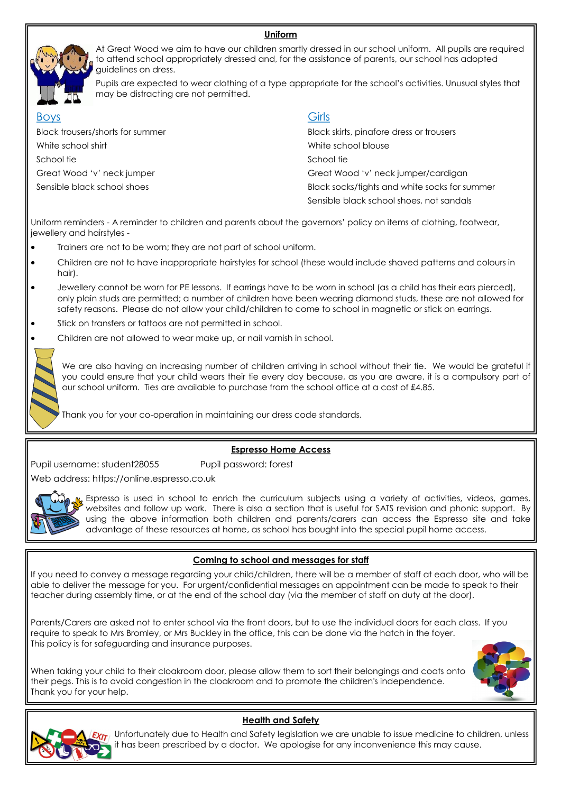#### **Uniform**



At Great Wood we aim to have our children smartly dressed in our school uniform. All pupils are required to attend school appropriately dressed and, for the assistance of parents, our school has adopted guidelines on dress.

Pupils are expected to wear clothing of a type appropriate for the school's activities. Unusual styles that may be distracting are not permitted.

| <b>Boys</b>                      | Girls                                         |
|----------------------------------|-----------------------------------------------|
| Black trousers/shorts for summer | Black skirts, pinafore dress or trousers      |
| White school shirt               | White school blouse                           |
| School tie                       | School tie                                    |
| Great Wood 'v' neck jumper       | Great Wood 'v' neck jumper/cardigan           |
| Sensible black school shoes      | Black socks/tights and white socks for summer |
|                                  | Sensible black school shoes, not sandals      |

Uniform reminders - A reminder to children and parents about the governors' policy on items of clothing, footwear, jewellery and hairstyles -

- Trainers are not to be worn; they are not part of school uniform.
- Children are not to have inappropriate hairstyles for school (these would include shaved patterns and colours in hair).
- Jewellery cannot be worn for PE lessons. If earrings have to be worn in school (as a child has their ears pierced), only plain studs are permitted; a number of children have been wearing diamond studs, these are not allowed for safety reasons. Please do not allow your child/children to come to school in magnetic or stick on earrings.
- Stick on transfers or tattoos are not permitted in school.
- Children are not allowed to wear make up, or nail varnish in school.

We are also having an increasing number of children arriving in school without their tie. We would be grateful if you could ensure that your child wears their tie every day because, as you are aware, it is a compulsory part of our school uniform. Ties are available to purchase from the school office at a cost of £4.85.

Thank you for your co-operation in maintaining our dress code standards.

#### **Espresso Home Access**

Pupil username: student28055 Pupil password: forest

Web address: https://online.espresso.co.uk



Espresso is used in school to enrich the curriculum subjects using a variety of activities, videos, games, websites and follow up work. There is also a section that is useful for SATS revision and phonic support. By using the above information both children and parents/carers can access the Espresso site and take advantage of these resources at home, as school has bought into the special pupil home access.

## **Coming to school and messages for staff**

If you need to convey a message regarding your child/children, there will be a member of staff at each door, who will be able to deliver the message for you. For urgent/confidential messages an appointment can be made to speak to their teacher during assembly time, or at the end of the school day (via the member of staff on duty at the door).

Parents/Carers are asked not to enter school via the front doors, but to use the individual doors for each class. If you require to speak to Mrs Bromley, or Mrs Buckley in the office, this can be done via the hatch in the foyer. This policy is for safeguarding and insurance purposes.

When taking your child to their cloakroom door, please allow them to sort their belongings and coats onto their pegs. This is to avoid congestion in the cloakroom and to promote the children's independence.





Thank you for your help.

## **Health and Safety**

 $T_{\text{L}}$  Unfortunately due to Health and Safety legislation we are unable to issue medicine to children, unless it has been prescribed by a doctor. We apologise for any inconvenience this may cause.